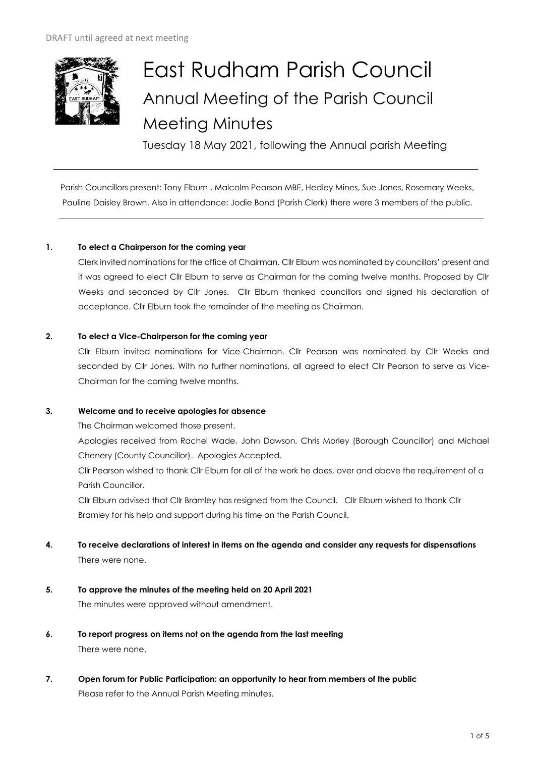

# East Rudham Parish Council Annual Meeting of the Parish Council Meeting Minutes

Tuesday 18 May 2021, following the Annual parish Meeting

Parish Councillors present: Tony Elburn , Malcolm Pearson MBE, Hedley Mines, Sue Jones, Rosemary Weeks, Pauline Daisley Brown. Also in attendance: Jodie Bond (Parish Clerk) there were 3 members of the public.

# **1. To elect a Chairperson for the coming year**

Clerk invited nominations for the office of Chairman. Cllr Elburn was nominated by councillors' present and it was agreed to elect Cllr Elburn to serve as Chairman for the coming twelve months. Proposed by Cllr Weeks and seconded by Cllr Jones. Cllr Elburn thanked councillors and signed his declaration of acceptance. Cllr Elburn took the remainder of the meeting as Chairman.

# **2. To elect a Vice-Chairperson for the coming year**

Cllr Elburn invited nominations for Vice-Chairman. Cllr Pearson was nominated by Cllr Weeks and seconded by Cllr Jones. With no further nominations, all agreed to elect Cllr Pearson to serve as Vice-Chairman for the coming twelve months.

# **3. Welcome and to receive apologies for absence**

The Chairman welcomed those present.

Apologies received from Rachel Wade, John Dawson, Chris Morley (Borough Councillor) and Michael Chenery (County Councillor). Apologies Accepted.

Cllr Pearson wished to thank Cllr Elburn for all of the work he does, over and above the requirement of a Parish Councillor.

Cllr Elburn advised that Cllr Bramley has resigned from the Council. Cllr Elburn wished to thank Cllr Bramley for his help and support during his time on the Parish Council.

- **4. To receive declarations of interest in items on the agenda and consider any requests for dispensations**  There were none.
- **5. To approve the minutes of the meeting held on 20 April 2021**  The minutes were approved without amendment.
- **6. To report progress on items not on the agenda from the last meeting**  There were none.
- **7. Open forum for Public Participation: an opportunity to hear from members of the public** Please refer to the Annual Parish Meeting minutes.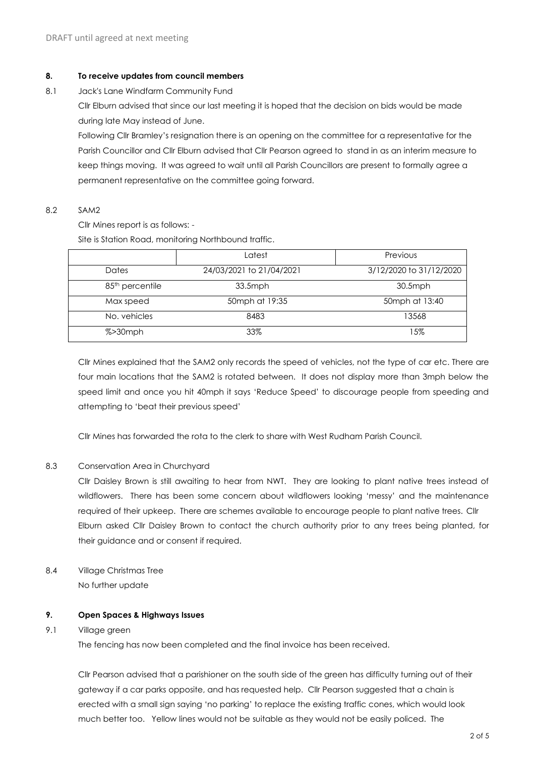#### **8. To receive updates from council members**

8.1 Jack's Lane Windfarm Community Fund

Cllr Elburn advised that since our last meeting it is hoped that the decision on bids would be made during late May instead of June.

Following Cllr Bramley's resignation there is an opening on the committee for a representative for the Parish Councillor and Cllr Elburn advised that Cllr Pearson agreed to stand in as an interim measure to keep things moving. It was agreed to wait until all Parish Councillors are present to formally agree a permanent representative on the committee going forward.

#### 8.2 SAM2

Cllr Mines report is as follows: -

Site is Station Road, monitoring Northbound traffic.

|                             | Latest                   | Previous                |
|-----------------------------|--------------------------|-------------------------|
| Dates                       | 24/03/2021 to 21/04/2021 | 3/12/2020 to 31/12/2020 |
| 85 <sup>th</sup> percentile | $33.5$ mph               | 30.5mph                 |
| Max speed                   | 50mph at 19:35           | 50mph at 13:40          |
| No. vehicles                | 8483                     | 13568                   |
| $% > 30$ mph                | 33%                      | 15%                     |

Cllr Mines explained that the SAM2 only records the speed of vehicles, not the type of car etc. There are four main locations that the SAM2 is rotated between. It does not display more than 3mph below the speed limit and once you hit 40mph it says 'Reduce Speed' to discourage people from speeding and attempting to 'beat their previous speed'

Cllr Mines has forwarded the rota to the clerk to share with West Rudham Parish Council.

# 8.3 Conservation Area in Churchyard

Cllr Daisley Brown is still awaiting to hear from NWT. They are looking to plant native trees instead of wildflowers. There has been some concern about wildflowers looking 'messy' and the maintenance required of their upkeep. There are schemes available to encourage people to plant native trees. Cllr Elburn asked Cllr Daisley Brown to contact the church authority prior to any trees being planted, for their guidance and or consent if required.

8.4 Village Christmas Tree No further update

#### **9. Open Spaces & Highways Issues**

#### 9.1 Village green

The fencing has now been completed and the final invoice has been received.

Cllr Pearson advised that a parishioner on the south side of the green has difficulty turning out of their gateway if a car parks opposite, and has requested help. Cllr Pearson suggested that a chain is erected with a small sign saying 'no parking' to replace the existing traffic cones, which would look much better too. Yellow lines would not be suitable as they would not be easily policed. The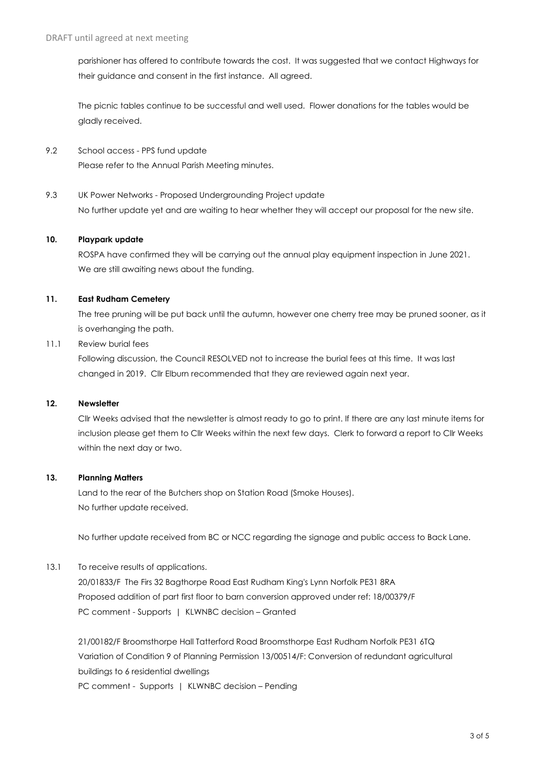parishioner has offered to contribute towards the cost. It was suggested that we contact Highways for their guidance and consent in the first instance. All agreed.

The picnic tables continue to be successful and well used. Flower donations for the tables would be gladly received.

- 9.2 School access PPS fund update Please refer to the Annual Parish Meeting minutes.
- 9.3 UK Power Networks Proposed Undergrounding Project update No further update yet and are waiting to hear whether they will accept our proposal for the new site.

#### **10. Playpark update**

ROSPA have confirmed they will be carrying out the annual play equipment inspection in June 2021. We are still awaiting news about the funding.

#### **11. East Rudham Cemetery**

The tree pruning will be put back until the autumn, however one cherry tree may be pruned sooner, as it is overhanging the path.

# 11.1 Review burial fees

Following discussion, the Council RESOLVED not to increase the burial fees at this time. It was last changed in 2019. Cllr Elburn recommended that they are reviewed again next year.

# **12. Newsletter**

Cllr Weeks advised that the newsletter is almost ready to go to print. If there are any last minute items for inclusion please get them to Cllr Weeks within the next few days. Clerk to forward a report to Cllr Weeks within the next day or two.

# **13. Planning Matters**

Land to the rear of the Butchers shop on Station Road (Smoke Houses). No further update received.

No further update received from BC or NCC regarding the signage and public access to Back Lane.

# 13.1 To receive results of applications.

20/01833/F The Firs 32 Bagthorpe Road East Rudham King's Lynn Norfolk PE31 8RA Proposed addition of part first floor to barn conversion approved under ref: 18/00379/F PC comment - Supports | KLWNBC decision – Granted

21/00182/F Broomsthorpe Hall Tatterford Road Broomsthorpe East Rudham Norfolk PE31 6TQ Variation of Condition 9 of Planning Permission 13/00514/F: Conversion of redundant agricultural buildings to 6 residential dwellings

PC comment - Supports | KLWNBC decision – Pending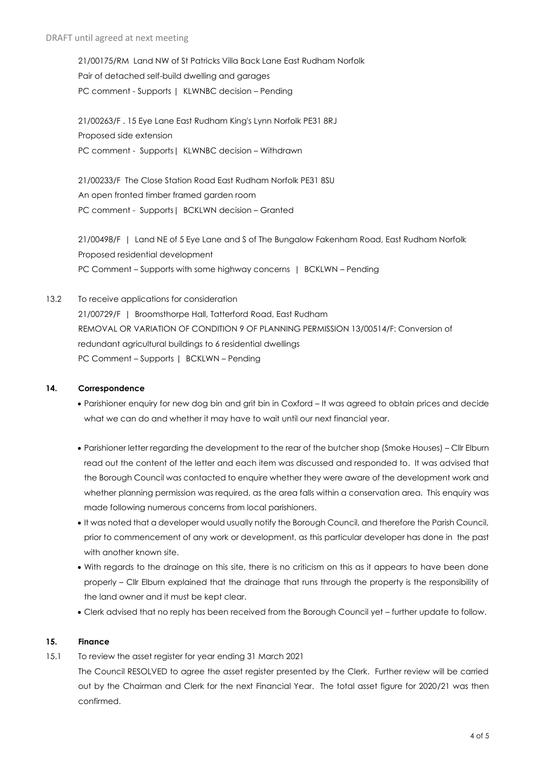21/00175/RM Land NW of St Patricks Villa Back Lane East Rudham Norfolk Pair of detached self-build dwelling and garages PC comment - Supports | KLWNBC decision – Pending

21/00263/F . 15 Eye Lane East Rudham King's Lynn Norfolk PE31 8RJ Proposed side extension PC comment - Supports | KLWNBC decision – Withdrawn

21/00233/F The Close Station Road East Rudham Norfolk PE31 8SU An open fronted timber framed garden room PC comment - Supports | BCKLWN decision - Granted

21/00498/F | Land NE of 5 Eye Lane and S of The Bungalow Fakenham Road, East Rudham Norfolk Proposed residential development PC Comment – Supports with some highway concerns | BCKLWN – Pending

13.2 To receive applications for consideration 21/00729/F | Broomsthorpe Hall, Tatterford Road, East Rudham REMOVAL OR VARIATION OF CONDITION 9 OF PLANNING PERMISSION 13/00514/F: Conversion of redundant agricultural buildings to 6 residential dwellings PC Comment – Supports | BCKLWN – Pending

# **14. Correspondence**

- Parishioner enquiry for new dog bin and grit bin in Coxford It was agreed to obtain prices and decide what we can do and whether it may have to wait until our next financial year.
- Parishioner letter regarding the development to the rear of the butcher shop (Smoke Houses) Cllr Elburn read out the content of the letter and each item was discussed and responded to. It was advised that the Borough Council was contacted to enquire whether they were aware of the development work and whether planning permission was required, as the area falls within a conservation area. This enquiry was made following numerous concerns from local parishioners.
- It was noted that a developer would usually notify the Borough Council, and therefore the Parish Council, prior to commencement of any work or development, as this particular developer has done in the past with another known site.
- With regards to the drainage on this site, there is no criticism on this as it appears to have been done properly – Cllr Elburn explained that the drainage that runs through the property is the responsibility of the land owner and it must be kept clear.
- Clerk advised that no reply has been received from the Borough Council yet further update to follow.

# **15. Finance**

15.1 To review the asset register for year ending 31 March 2021

The Council RESOLVED to agree the asset register presented by the Clerk. Further review will be carried out by the Chairman and Clerk for the next Financial Year. The total asset figure for 2020/21 was then confirmed.